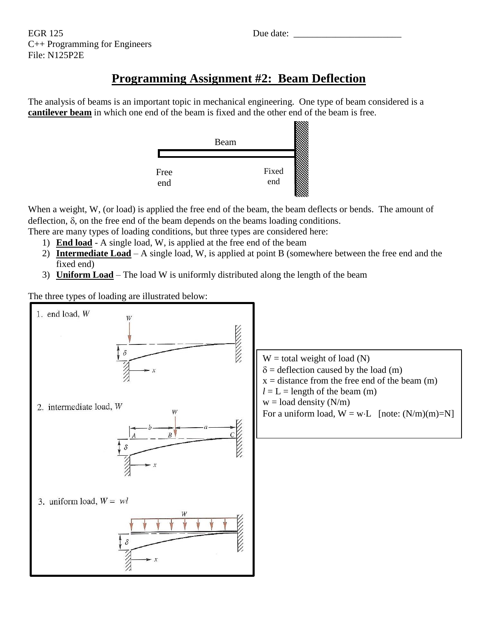# **Programming Assignment #2: Beam Deflection**

The analysis of beams is an important topic in mechanical engineering. One type of beam considered is a **cantilever beam** in which one end of the beam is fixed and the other end of the beam is free.



When a weight, W, (or load) is applied the free end of the beam, the beam deflects or bends. The amount of deflection,  $\delta$ , on the free end of the beam depends on the beams loading conditions.

- There are many types of loading conditions, but three types are considered here:
	- 1) **End load** A single load, W, is applied at the free end of the beam
	- 2) **Intermediate Load** A single load, W, is applied at point B (somewhere between the free end and the fixed end)
	- 3) **Uniform Load** The load W is uniformly distributed along the length of the beam

The three types of loading are illustrated below:

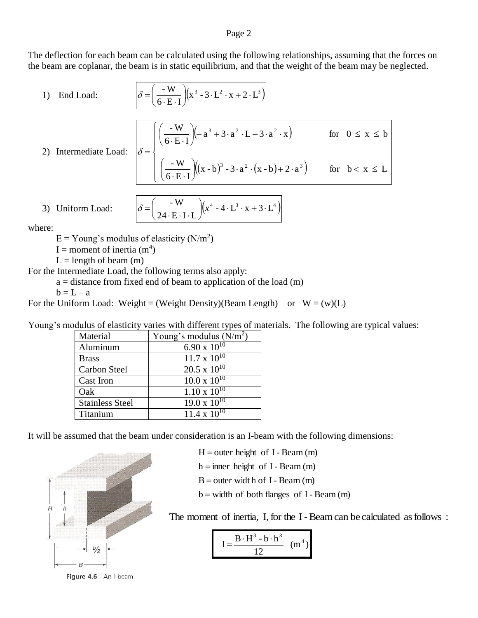#### Page 2

The deflection for each beam can be calculated using the following relationships, assuming that the forces on the beam are coplanar, the beam is in static equilibrium, and that the weight of the beam may be neglected.

1) End Load: 
$$
\delta = \left(\frac{-W}{6 \cdot E \cdot I}\right) \left(x^3 - 3 \cdot L^2 \cdot x + 2 \cdot L^3\right)
$$

2) Intermediate Load:

$$
\delta = \begin{cases}\n\left(\frac{-\mathbf{W}}{6\cdot\mathbf{E}\cdot\mathbf{I}}\right)(-a^3 + 3\cdot a^2\cdot\mathbf{L} - 3\cdot a^2\cdot x) & \text{for } 0 \le x \le b \\
\left(\frac{-\mathbf{W}}{6\cdot\mathbf{E}\cdot\mathbf{I}}\right)((x-b)^3 - 3\cdot a^2\cdot(x-b) + 2\cdot a^3) & \text{for } b < x \le L\n\end{cases}
$$

3) Uniform Load: 
$$
\delta = \left(\frac{-W}{24 \cdot E \cdot I \cdot L}\right) \left(x^4 - 4 \cdot L^3 \cdot x + 3 \cdot L^4\right)
$$

where:

 $E =$  Young's modulus of elasticity (N/m<sup>2</sup>)

I = moment of inertia  $(m<sup>4</sup>)$ 

 $L =$  length of beam  $(m)$ 

For the Intermediate Load, the following terms also apply:

 $a = distance from fixed end of beam to application of the load (m)$ 

 $b = L - a$ 

For the Uniform Load: Weight = (Weight Density)(Beam Length) or  $W = (w)(L)$ 

Young's modulus of elasticity varies with different types of materials. The following are typical values:

| Material               | Young's modulus $(N/m2)$ |
|------------------------|--------------------------|
| Aluminum               | $6.90 \times 10^{10}$    |
| <b>Brass</b>           | $11.7 \times 10^{10}$    |
| Carbon Steel           | $20.5 \times 10^{10}$    |
| Cast Iron              | $10.0 \times 10^{10}$    |
| Oak                    | $1.10 \times 10^{10}$    |
| <b>Stainless Steel</b> | $19.0 \times 10^{10}$    |
| Titanium               | $11.4 \times 10^{10}$    |

It will be assumed that the beam under consideration is an I-beam with the following dimensions:



Figure 4.6 An I-beam

 $H =$  outer height of I - Beam (m)

 $h =$  inner height of I - Beam (m)

 $B =$  outer width of I - Beam  $(m)$ 

 $b = width of both flanges of I - Bean (m)$ 

The moment of inertia, I, for the I-Beam can be calculated as follows:

$$
I = \frac{B \cdot H^3 - b \cdot h^3}{12} \quad (m^4)
$$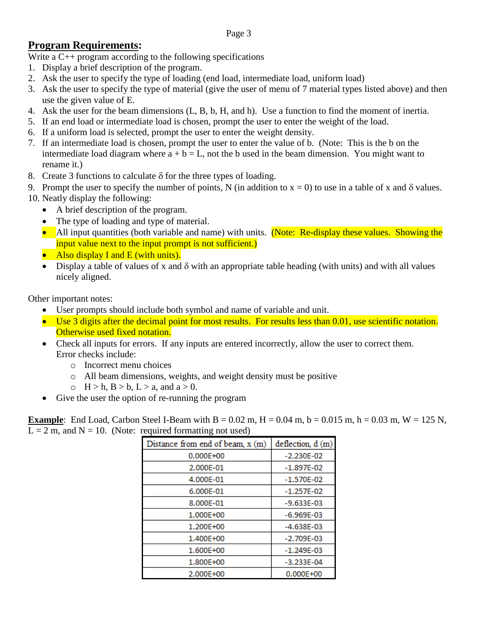# **Program Requirements:**

Write a C<sup>++</sup> program according to the following specifications

- 1. Display a brief description of the program.
- 2. Ask the user to specify the type of loading (end load, intermediate load, uniform load)
- 3. Ask the user to specify the type of material (give the user of menu of 7 material types listed above) and then use the given value of E.
- 4. Ask the user for the beam dimensions (L, B, b, H, and h). Use a function to find the moment of inertia.
- 5. If an end load or intermediate load is chosen, prompt the user to enter the weight of the load.
- 6. If a uniform load is selected, prompt the user to enter the weight density.
- 7. If an intermediate load is chosen, prompt the user to enter the value of b. (Note: This is the b on the intermediate load diagram where  $a + b = L$ , not the b used in the beam dimension. You might want to rename it.)
- 8. Create 3 functions to calculate  $\delta$  for the three types of loading.
- 9. Prompt the user to specify the number of points, N (in addition to  $x = 0$ ) to use in a table of x and  $\delta$  values.
- 10. Neatly display the following:
	- A brief description of the program.
	- The type of loading and type of material.
	- All input quantities (both variable and name) with units. (Note: Re-display these values. Showing the input value next to the input prompt is not sufficient.)
	- Also display I and E (with units).
	- Display a table of values of x and  $\delta$  with an appropriate table heading (with units) and with all values nicely aligned.

Other important notes:

- User prompts should include both symbol and name of variable and unit.
- Use 3 digits after the decimal point for most results. For results less than 0.01, use scientific notation. Otherwise used fixed notation.
- Check all inputs for errors. If any inputs are entered incorrectly, allow the user to correct them. Error checks include:
	- o Incorrect menu choices
	- o All beam dimensions, weights, and weight density must be positive
	- $\circ$  H > h, B > b, L > a, and a > 0.
- Give the user the option of re-running the program

**Example**: End Load, Carbon Steel I-Beam with  $B = 0.02$  m,  $H = 0.04$  m,  $b = 0.015$  m,  $h = 0.03$  m,  $W = 125$  N,  $L = 2$  m, and  $N = 10$ . (Note: required formatting not used)

| Distance from end of beam, $x(m)$ | deflection, d (m) |  |  |  |
|-----------------------------------|-------------------|--|--|--|
| 0.000E+00                         | $-2.230E-02$      |  |  |  |
| 2.000E-01                         | $-1.897E-02$      |  |  |  |
| 4.000E-01                         | $-1.570E-02$      |  |  |  |
| 6.000E-01                         | $-1.257E-02$      |  |  |  |
| 8.000E-01                         | $-9.633E-03$      |  |  |  |
| 1.000E+00                         | $-6.969E-03$      |  |  |  |
| 1.200E+00                         | $-4.638E-03$      |  |  |  |
| 1.400E+00                         | $-2.709E-03$      |  |  |  |
| 1.600E+00                         | $-1.249E-03$      |  |  |  |
| 1.800E+00                         | $-3.233E-04$      |  |  |  |
| 2.000E+00                         | $0.000E + 00$     |  |  |  |